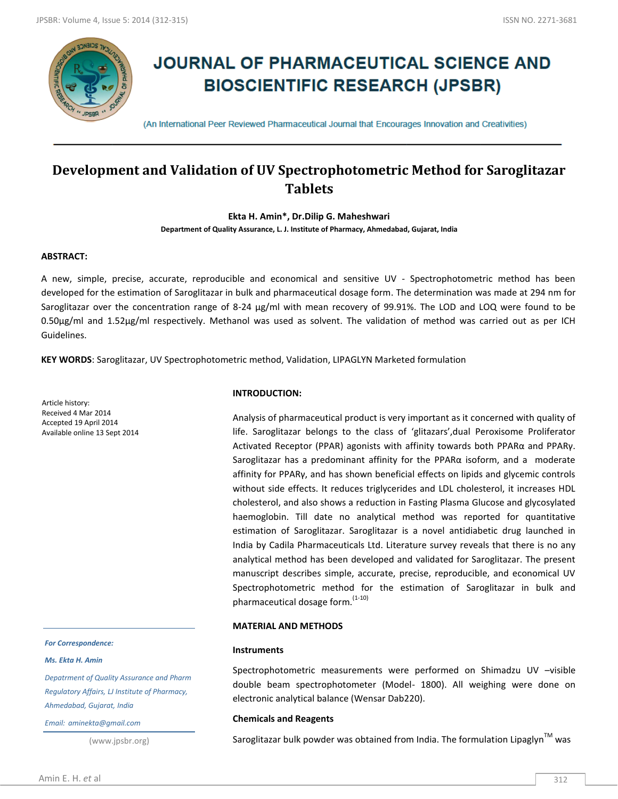

# **JOURNAL OF PHARMACEUTICAL SCIENCE AND BIOSCIENTIFIC RESEARCH (JPSBR)**

(An International Peer Reviewed Pharmaceutical Journal that Encourages Innovation and Creativities)

# **Development and Validation of UV Spectrophotometric Method for Saroglitazar Tablets**

**Ekta H. Amin\*, Dr.Dilip G. Maheshwari**

**Department of Quality Assurance, L. J. Institute of Pharmacy, Ahmedabad, Gujarat, India**

# **ABSTRACT:**

A new, simple, precise, accurate, reproducible and economical and sensitive UV ‐ Spectrophotometric method has been developed for the estimation of Saroglitazar in bulk and pharmaceutical dosage form. The determination was made at 294 nm for Saroglitazar over the concentration range of 8-24 μg/ml with mean recovery of 99.91%. The LOD and LOQ were found to be 0.50µg/ml and 1.52µg/ml respectively. Methanol was used as solvent. The validation of method was carried out as per ICH Guidelines.

**KEY WORDS**: Saroglitazar, UV Spectrophotometric method, Validation, LIPAGLYN Marketed formulation

Article history: Received 4 Mar 2014 Accepted 19 April 2014 Available online 13 Sept 2014

# **INTRODUCTION:**

Analysis of pharmaceutical product is very important as it concerned with quality of life. Saroglitazar belongs to the class of 'glitazars',dual Peroxisome Proliferator Activated Receptor (PPAR) agonists with affinity towards both PPARα and PPARγ. Saroglitazar has a predominant affinity for the PPARα isoform, and a moderate affinity for PPARγ, and has shown beneficial effects on lipids and glycemic controls without side effects. It reduces triglycerides and LDL cholesterol, it increases HDL cholesterol, and also shows a reduction in Fasting Plasma Glucose and glycosylated haemoglobin. Till date no analytical method was reported for quantitative estimation of Saroglitazar. Saroglitazar is a novel antidiabetic drug launched in India by Cadila Pharmaceuticals Ltd. Literature survey reveals that there is no any analytical method has been developed and validated for Saroglitazar. The present manuscript describes simple, accurate, precise, reproducible, and economical UV Spectrophotometric method for the estimation of Saroglitazar in bulk and pharmaceutical dosage form. $(1-10)$ 

#### **MATERIAL AND METHODS**

#### **Instruments**

Spectrophotometric measurements were performed on Shimadzu UV –visible double beam spectrophotometer (Model- 1800). All weighing were done on electronic analytical balance (Wensar Dab220).

#### **Chemicals and Reagents**

Saroglitazar bulk powder was obtained from India. The formulation Lipaglyn<sup>TM</sup> was

#### *For Correspondence:*

*Ms. Ekta H. Amin*

*Depatrment of Quality Assurance and Pharm Regulatory Affairs, LJ Institute of Pharmacy, Ahmedabad, Gujarat, India*

*Email: aminekta@gmail.com*

(www.jpsbr.org)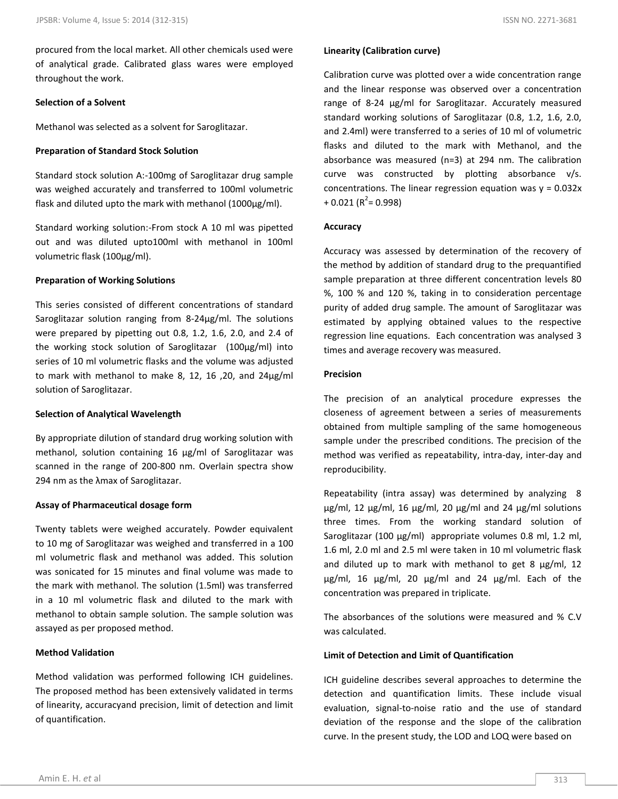#### **Selection of a Solvent**

Methanol was selected as a solvent for Saroglitazar.

# **Preparation of Standard Stock Solution**

Standard stock solution A:-100mg of Saroglitazar drug sample was weighed accurately and transferred to 100ml volumetric flask and diluted upto the mark with methanol (1000µg/ml).

Standard working solution:-From stock A 10 ml was pipetted out and was diluted upto100ml with methanol in 100ml volumetric flask (100µg/ml).

# **Preparation of Working Solutions**

This series consisted of different concentrations of standard Saroglitazar solution ranging from 8-24µg/ml. The solutions were prepared by pipetting out 0.8, 1.2, 1.6, 2.0, and 2.4 of the working stock solution of Saroglitazar (100µg/ml) into series of 10 ml volumetric flasks and the volume was adjusted to mark with methanol to make 8, 12, 16 ,20, and 24µg/ml solution of Saroglitazar.

#### **Selection of Analytical Wavelength**

By appropriate dilution of standard drug working solution with methanol, solution containing 16 μg/ml of Saroglitazar was scanned in the range of 200-800 nm. Overlain spectra show 294 nm as the λmax of Saroglitazar.

# **Assay of Pharmaceutical dosage form**

Twenty tablets were weighed accurately. Powder equivalent to 10 mg of Saroglitazar was weighed and transferred in a 100 ml volumetric flask and methanol was added. This solution was sonicated for 15 minutes and final volume was made to the mark with methanol. The solution (1.5ml) was transferred in a 10 ml volumetric flask and diluted to the mark with methanol to obtain sample solution. The sample solution was assayed as per proposed method.

# **Method Validation**

Method validation was performed following ICH guidelines. The proposed method has been extensively validated in terms of linearity, accuracyand precision, limit of detection and limit of quantification.

# **Linearity (Calibration curve)**

Calibration curve was plotted over a wide concentration range and the linear response was observed over a concentration range of 8-24 μg/ml for Saroglitazar. Accurately measured standard working solutions of Saroglitazar (0.8, 1.2, 1.6, 2.0, and 2.4ml) were transferred to a series of 10 ml of volumetric flasks and diluted to the mark with Methanol, and the absorbance was measured (n=3) at 294 nm. The calibration curve was constructed by plotting absorbance v/s. concentrations. The linear regression equation was  $y = 0.032x$  $+ 0.021$  (R<sup>2</sup> = 0.998)

# **Accuracy**

Accuracy was assessed by determination of the recovery of the method by addition of standard drug to the prequantified sample preparation at three different concentration levels 80 %, 100 % and 120 %, taking in to consideration percentage purity of added drug sample. The amount of Saroglitazar was estimated by applying obtained values to the respective regression line equations. Each concentration was analysed 3 times and average recovery was measured.

# **Precision**

The precision of an analytical procedure expresses the closeness of agreement between a series of measurements obtained from multiple sampling of the same homogeneous sample under the prescribed conditions. The precision of the method was verified as repeatability, intra-day, inter-day and reproducibility.

Repeatability (intra assay) was determined by analyzing 8 μg/ml, 12 μg/ml, 16 μg/ml, 20 μg/ml and 24 μg/ml solutions three times. From the working standard solution of Saroglitazar (100 μg/ml) appropriate volumes 0.8 ml, 1.2 ml, 1.6 ml, 2.0 ml and 2.5 ml were taken in 10 ml volumetric flask and diluted up to mark with methanol to get 8 μg/ml, 12 μg/ml, 16 μg/ml, 20 μg/ml and 24 μg/ml. Each of the concentration was prepared in triplicate.

The absorbances of the solutions were measured and % C.V was calculated.

# **Limit of Detection and Limit of Quantification**

ICH guideline describes several approaches to determine the detection and quantification limits. These include visual evaluation, signal-to-noise ratio and the use of standard deviation of the response and the slope of the calibration curve. In the present study, the LOD and LOQ were based on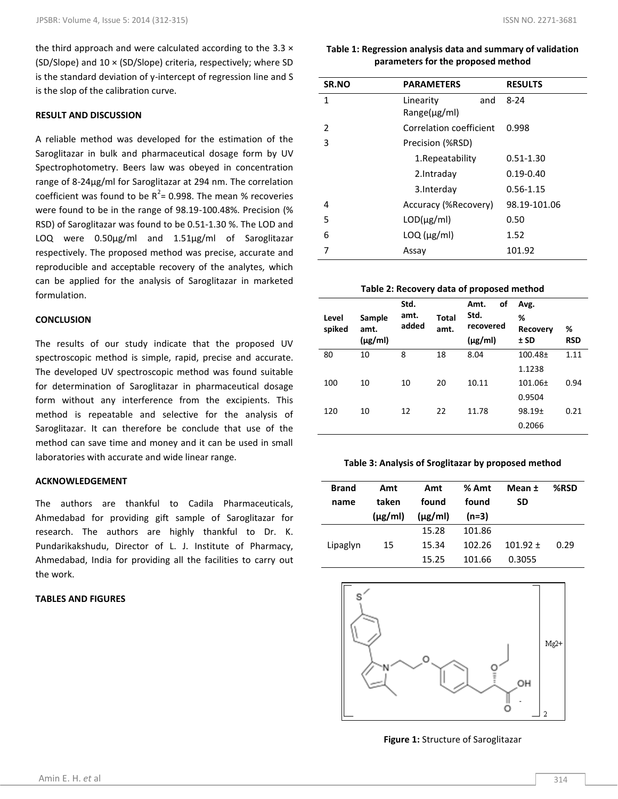the third approach and were calculated according to the 3.3  $\times$ (SD/Slope) and 10 × (SD/Slope) criteria, respectively; where SD is the standard deviation of y-intercept of regression line and S is the slop of the calibration curve.

# **RESULT AND DISCUSSION**

A reliable method was developed for the estimation of the Saroglitazar in bulk and pharmaceutical dosage form by UV Spectrophotometry. Beers law was obeyed in concentration range of 8-24μg/ml for Saroglitazar at 294 nm. The correlation coefficient was found to be  $R^2$  = 0.998. The mean % recoveries were found to be in the range of 98.19-100.48%. Precision (% RSD) of Saroglitazar was found to be 0.51-1.30 %. The LOD and LOQ were 0.50μg/ml and 1.51μg/ml of Saroglitazar respectively. The proposed method was precise, accurate and reproducible and acceptable recovery of the analytes, which can be applied for the analysis of Saroglitazar in marketed formulation.

#### **CONCLUSION**

The results of our study indicate that the proposed UV spectroscopic method is simple, rapid, precise and accurate. The developed UV spectroscopic method was found suitable for determination of Saroglitazar in pharmaceutical dosage form without any interference from the excipients. This method is repeatable and selective for the analysis of Saroglitazar. It can therefore be conclude that use of the method can save time and money and it can be used in small laboratories with accurate and wide linear range.

#### **ACKNOWLEDGEMENT**

The authors are thankful to Cadila Pharmaceuticals, Ahmedabad for providing gift sample of Saroglitazar for research. The authors are highly thankful to Dr. K. Pundarikakshudu, Director of L. J. Institute of Pharmacy, Ahmedabad, India for providing all the facilities to carry out the work.

#### **TABLES AND FIGURES**

# **Table 1: Regression analysis data and summary of validation parameters for the proposed method**

| SR.NO | <b>PARAMETERS</b>              |     | <b>RESULTS</b> |
|-------|--------------------------------|-----|----------------|
| 1     | Linearity<br>$Range(\mu g/ml)$ | and | $8 - 24$       |
| 2     | Correlation coefficient        |     | 0.998          |
| 3     |                                |     |                |
|       | Precision (%RSD)               |     |                |
|       | 1. Repeatability               |     | $0.51 - 1.30$  |
|       | 2.Intraday                     |     | $0.19 - 0.40$  |
|       | 3. Interday                    |     | $0.56 - 1.15$  |
| 4     | Accuracy (%Recovery)           |     | 98.19-101.06   |
| 5     | $LOD(\mu g/ml)$                |     | 0.50           |
| 6     | $LOQ$ ( $\mu$ g/ml)            |     | 1.52           |
|       | Assay                          |     | 101.92         |

# **Table 2: Recovery data of proposed method**

| Level  | Sample               | Std.<br>amt. | Total | οf<br>Amt.<br>Std.        | Avg.<br>%               |                 |
|--------|----------------------|--------------|-------|---------------------------|-------------------------|-----------------|
| spiked | amt.<br>$(\mu g/ml)$ | added        | amt.  | recovered<br>$(\mu$ g/ml) | <b>Recovery</b><br>± SD | %<br><b>RSD</b> |
| 80     | 10                   | 8            | 18    | 8.04                      | $100.48 +$              | 1.11            |
|        |                      |              |       |                           | 1.1238                  |                 |
| 100    | 10                   | 10           | 20    | 10.11                     | $101.06 \pm$            | 0.94            |
|        |                      |              |       |                           | 0.9504                  |                 |
| 120    | 10                   | 12           | 22    | 11.78                     | $98.19+$                | 0.21            |
|        |                      |              |       |                           | 0.2066                  |                 |

# **Table 3: Analysis of Sroglitazar by proposed method**

| <b>Brand</b><br>name | Amt<br>taken<br>$(\mu$ g/ml) | Amt<br>found<br>$(\mu$ g/ml) | % Amt<br>found<br>$(n=3)$ | Mean ±<br>SD | %RSD |
|----------------------|------------------------------|------------------------------|---------------------------|--------------|------|
|                      |                              | 15.28                        | 101.86                    |              |      |
| Lipaglyn             | 15                           | 15.34                        | 102.26                    | $101.92 +$   | 0.29 |
|                      |                              | 15.25                        | 101.66                    | 0.3055       |      |



**Figure 1:** Structure of Saroglitazar